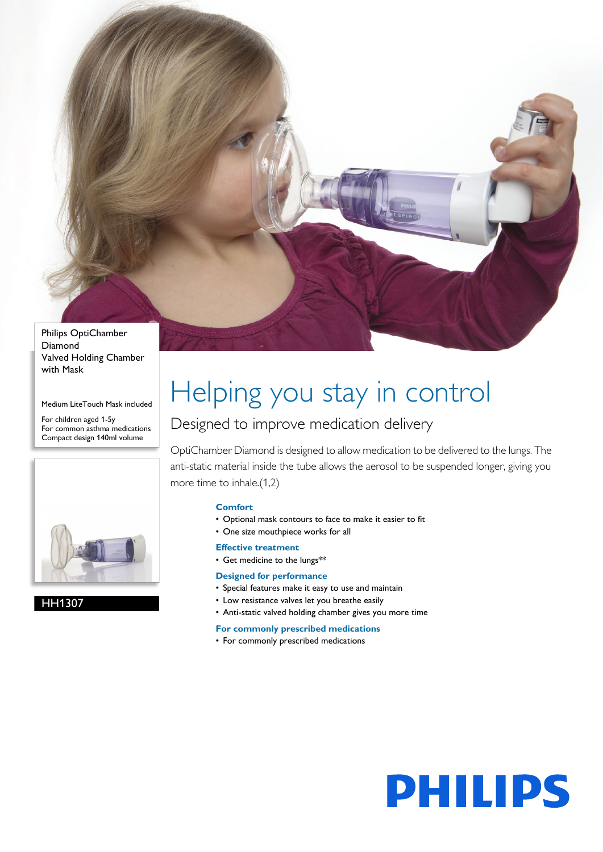

Diamond Valved Holding Chamber with Mask

Medium LiteTouch Mask included

For children aged 1-5y For common asthma medications Compact design 140ml volume



HH1307

# Helping you stay in control

### Designed to improve medication delivery

OptiChamber Diamond is designed to allow medication to be delivered to the lungs. The anti-static material inside the tube allows the aerosol to be suspended longer, giving you more time to inhale.(1,2)

### **Comfort**

- Optional mask contours to face to make it easier to fit
- One size mouthpiece works for all
- **Effective treatment**
- Get medicine to the lungs\*\*

### **Designed for performance**

- Special features make it easy to use and maintain
- Low resistance valves let you breathe easily
- Anti-static valved holding chamber gives you more time

### **For commonly prescribed medications**

• For commonly prescribed medications